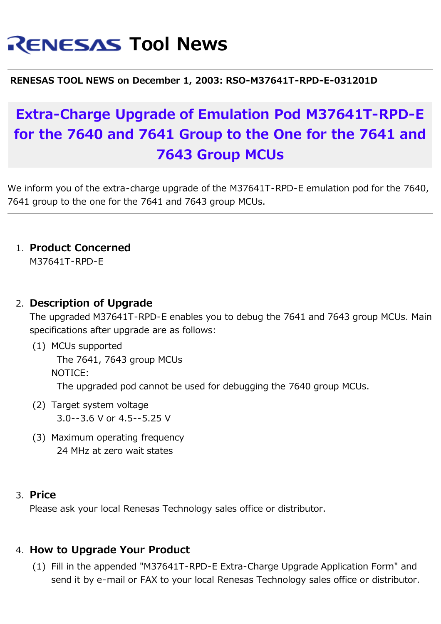# **RENESAS Tool News**

#### **RENESAS TOOL NEWS on December 1, 2003: RSO-M37641T-RPD-E-031201D**

## **Extra-Charge Upgrade of Emulation Pod M37641T-RPD-E for the 7640 and 7641 Group to the One for the 7641 and 7643 Group MCUs**

We inform you of the extra-charge upgrade of the M37641T-RPD-E emulation pod for the 7640, 7641 group to the one for the 7641 and 7643 group MCUs.

1. **Product Concerned**

M37641T-RPD-E

#### 2. **Description of Upgrade**

The upgraded M37641T-RPD-E enables you to debug the 7641 and 7643 group MCUs. Main specifications after upgrade are as follows:

(1) MCUs supported

 The 7641, 7643 group MCUs NOTICE:

The upgraded pod cannot be used for debugging the 7640 group MCUs.

- (2) Target system voltage 3.0--3.6 V or 4.5--5.25 V
- (3) Maximum operating frequency 24 MHz at zero wait states

#### 3. **Price**

Please ask your local Renesas Technology sales office or distributor.

#### 4. **How to Upgrade Your Product**

(1) Fill in the appended "M37641T-RPD-E Extra-Charge Upgrade Application Form" and send it by e-mail or FAX to your local Renesas Technology sales office or distributor.